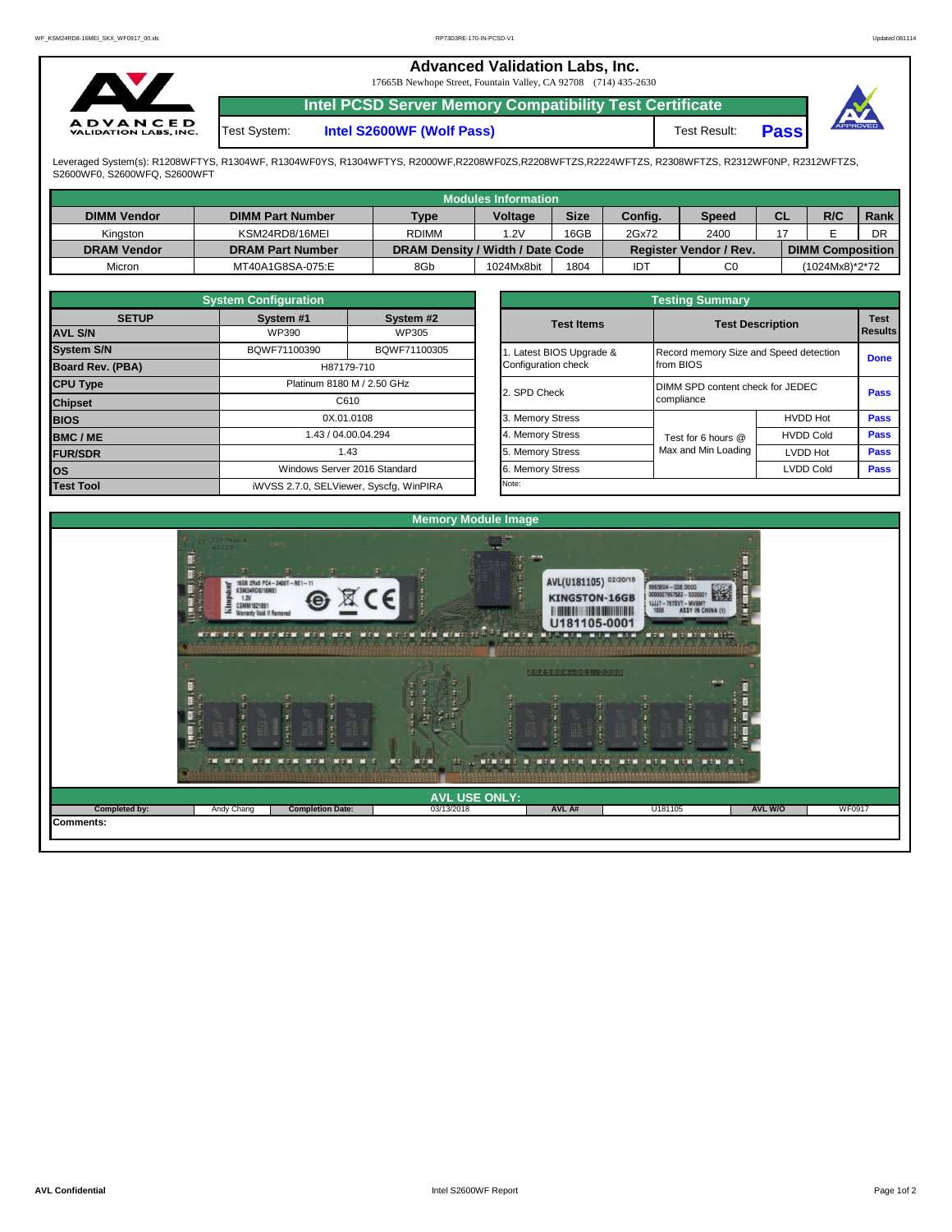|                                                 |              | <b>Advanced Validation Labs, Inc.</b><br>17665B Newhope Street, Fountain Valley, CA 92708 (714) 435-2630 |                     |      |          |
|-------------------------------------------------|--------------|----------------------------------------------------------------------------------------------------------|---------------------|------|----------|
|                                                 |              | <b>Intel PCSD Server Memory Compatibility Test Certificate</b>                                           |                     |      |          |
| <b>ADVANCED</b><br><b>VALIDATION LABS, INC.</b> | Test System: | Intel S2600WF (Wolf Pass)                                                                                | <b>Test Result:</b> | Pass | APPROVED |

Leveraged System(s): R1208WFTYS, R1304WF, R1304WF0YS, R1304WFTYS, R2000WF,R2208WF0ZS,R2208WFTZS,R2224WFTZS, R2308WFTZS, R2312WF0NP, R2312WFTZS,<br>S2600WF0, S2600WFQ, S2600WFT

|                    |                         |                                  | Modules Information |             |                   |                               |           |                         |      |
|--------------------|-------------------------|----------------------------------|---------------------|-------------|-------------------|-------------------------------|-----------|-------------------------|------|
| <b>DIMM Vendor</b> | <b>DIMM Part Number</b> | <b>Type</b>                      | <b>Voltage</b>      | <b>Size</b> | Config.           | <b>Speed</b>                  | <b>CL</b> | R/C                     | Rank |
| Kinaston           | KSM24RD8/16MEI          | <b>RDIMM</b>                     | 1.2V                | 16GB        | 2Gx72             | 2400                          |           |                         | DR   |
| <b>DRAM Vendor</b> | <b>DRAM Part Number</b> | DRAM Density / Width / Date Code |                     |             |                   | <b>Register Vendor / Rev.</b> |           | <b>DIMM Composition</b> |      |
| Micron             | MT40A1G8SA-075:E        | 8Gb                              | 1024Mx8bit          | 1804        | $ID^{\mathsf{T}}$ | C <sub>0</sub>                |           | (1024Mx8)*2*72          |      |

|                         | <b>System Configuration</b> |                                         |                       | <b>Testing Summary</b>                 |                  |             |
|-------------------------|-----------------------------|-----------------------------------------|-----------------------|----------------------------------------|------------------|-------------|
| <b>SETUP</b>            | System #1                   | System #2                               | <b>Test Items</b>     | <b>Test Description</b>                |                  | <b>Test</b> |
| <b>AVL S/N</b>          | <b>WP390</b>                | <b>WP305</b>                            |                       |                                        |                  | Results     |
| <b>System S/N</b>       | BQWF71100390                | BQWF71100305                            | Latest BIOS Upgrade & | Record memory Size and Speed detection |                  | <b>Done</b> |
| <b>Board Rev. (PBA)</b> |                             | H87179-710                              | Configuration check   | from BIOS                              |                  |             |
| <b>CPU Type</b>         |                             | Platinum 8180 M / 2.50 GHz              | 2. SPD Check          | DIMM SPD content check for JEDEC       |                  | <b>Pass</b> |
| <b>Chipset</b>          |                             | C610                                    |                       | compliance                             |                  |             |
| <b>BIOS</b>             |                             | 0X.01.0108                              | 3. Memory Stress      |                                        | <b>HVDD Hot</b>  | Pass        |
| <b>BMC/ME</b>           |                             | 1.43 / 04.00.04.294                     | 4. Memory Stress      | Test for 6 hours @                     | <b>HVDD Cold</b> | <b>Pass</b> |
| <b>FUR/SDR</b>          |                             | 1.43                                    | 5. Memory Stress      | Max and Min Loading                    | <b>LVDD Hot</b>  | <b>Pass</b> |
| los                     |                             | Windows Server 2016 Standard            | 6. Memory Stress      |                                        | <b>LVDD Cold</b> | Pass        |
| <b>Test Tool</b>        |                             | iWVSS 2.7.0, SELViewer, Syscfq, WinPIRA | Note:                 |                                        |                  |             |

|              | <b>System Configuration</b> |                                    |                       | <b>Testing Summary</b>                 |                  |                |  |  |
|--------------|-----------------------------|------------------------------------|-----------------------|----------------------------------------|------------------|----------------|--|--|
| <b>SETUP</b> | System #1<br>WP390          | System #2<br>WP305                 | <b>Test Items</b>     | <b>Test Description</b>                |                  | <b>Results</b> |  |  |
|              | BQWF71100390                | BQWF71100305                       | Latest BIOS Upgrade & | Record memory Size and Speed detection |                  |                |  |  |
| PBA)         |                             | H87179-710                         | Configuration check   | from BIOS                              |                  | <b>Done</b>    |  |  |
|              |                             | Platinum 8180 M / 2.50 GHz         |                       | DIMM SPD content check for JEDEC       |                  |                |  |  |
|              |                             | C610                               | 2. SPD Check          | compliance                             |                  | Pass           |  |  |
|              |                             | 0X.01.0108                         | 3. Memory Stress      |                                        | <b>HVDD Hot</b>  | Pass           |  |  |
|              |                             | 1.43 / 04.00.04.294                | 4. Memory Stress      | Test for 6 hours @                     | <b>HVDD Cold</b> | Pass           |  |  |
|              |                             | 1.43                               | 5. Memory Stress      | Max and Min Loading                    | LVDD Hot         | Pass           |  |  |
|              |                             | Windows Server 2016 Standard       | 6. Memory Stress      |                                        | <b>LVDD Cold</b> | <b>Pass</b>    |  |  |
|              |                             | iMVSS 270 SELViewer Svecta WinPIRA | Note:                 |                                        |                  |                |  |  |